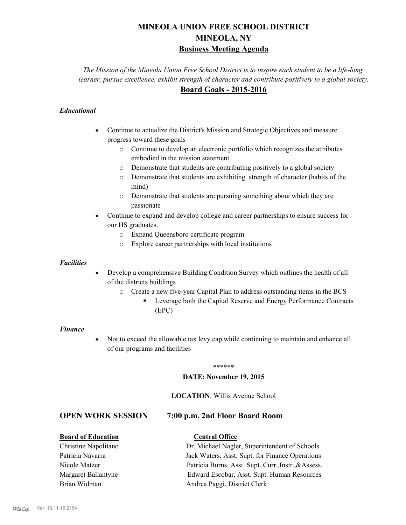# **MINEOLA UNION FREE SCHOOL DISTRICT MINEOLA, NY Business Meeting Agenda**

*The Mission of the Mineola Union Free School District is to inspire each student to be a life-long learner, pursue excellence, exhibit strength of character and contribute positively to a global society.* **Board Goals - 2015-2016**

## *Educational*

- · Continue to actualize the District's Mission and Strategic Objectives and measure progress toward these goals
	- o Continue to develop an electronic portfolio which recognizes the attributes embodied in the mission statement
	- o Demonstrate that students are contributing positively to a global society
	- o Demonstrate that students are exhibiting strength of character (habits of the mind)
	- o Demonstrate that students are pursuing something about which they are passionate
- Continue to expand and develop college and career partnerships to ensure success for our HS graduates.
	- o Expand Queensboro certificate program
	- o Explore career partnerships with local institutions

#### *Facilities*

- Develop a comprehensive Building Condition Survey which outlines the health of all of the districts buildings
	- o Create a new five-year Capital Plan to address outstanding items in the BCS
		- § Leverage both the Capital Reserve and Energy Performance Contracts (EPC)

#### *Finance*

• Not to exceed the allowable tax levy cap while continuing to maintain and enhance all of our programs and facilities

#### \*\*\*\*\*\*

#### **DATE: November 19, 2015**

#### **LOCATION**: Willis Avenue School

## **OPEN WORK SESSION 7:00 p.m. 2nd Floor Board Room**

#### **Board of Education Central Office**

## Christine Napolitano Dr. Michael Nagler, Superintendent of Schools Patricia Navarra Jack Waters, Asst. Supt. for Finance Operations Nicole Matzer Patricia Burns, Asst. Supt. Curr.,Instr.,&Assess. Margaret Ballantyne Edward Escobar, Asst. Supt. Human Resources Brian Widman **Andrea Paggi, District Clerk**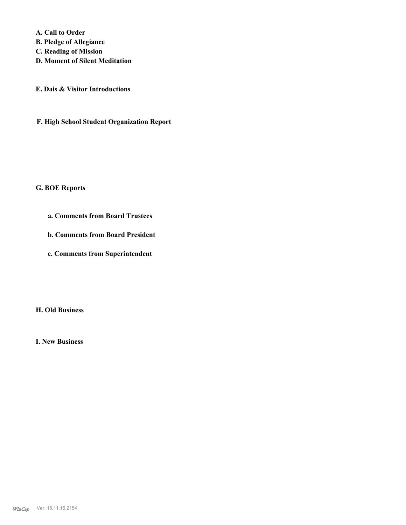**A. Call to Order B. Pledge of Allegiance C. Reading of Mission D. Moment of Silent Meditation**

**E. Dais & Visitor Introductions**

**F. High School Student Organization Report**

#### **G. BOE Reports**

- **a. Comments from Board Trustees**
- **b. Comments from Board President**
- **c. Comments from Superintendent**

**H. Old Business**

**I. New Business**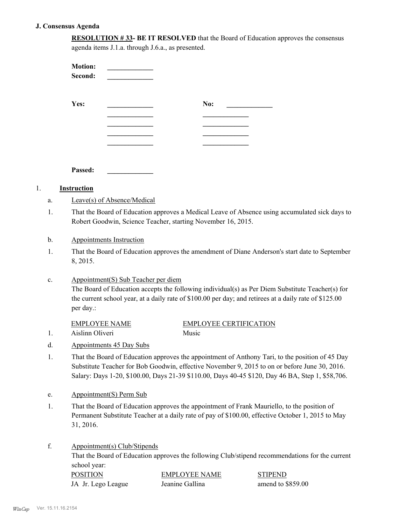## **J. Consensus Agenda**

1. **Instruction**

1.

1.

c.

1.

1.

f.

| <b>RESOLUTION #33- BE IT RESOLVED</b> that the Board of Education approves the consensus |  |
|------------------------------------------------------------------------------------------|--|
| agenda items J.1.a. through J.6.a., as presented.                                        |  |

| Yes:<br>No:<br><u> 1989 - Johann Barn, mars eta bainar e</u><br>Passed:<br><b>Instruction</b><br>Leave(s) of Absence/Medical<br>a.<br>That the Board of Education approves a Medical Leave of Absence using accumulated sick days to<br>1.<br>Robert Goodwin, Science Teacher, starting November 16, 2015.<br>b.<br><b>Appointments Instruction</b><br>That the Board of Education approves the amendment of Diane Anderson's start date to September<br>1.<br>8, 2015.<br>Appointment(S) Sub Teacher per diem<br>c.<br>The Board of Education accepts the following individual(s) as Per Diem Substitute Teacher(s) for<br>the current school year, at a daily rate of \$100.00 per day; and retirees at a daily rate of \$125.00<br>per day.:<br><b>EMPLOYEE NAME</b><br><b>EMPLOYEE CERTIFICATION</b><br>Aislinn Oliveri<br>Music<br>1.<br>Appointments 45 Day Subs<br>d.<br>1.<br>Appointment(S) Perm Sub<br>e.<br>That the Board of Education approves the appointment of Frank Mauriello, to the position of<br>1.<br>Permanent Substitute Teacher at a daily rate of pay of \$100.00, effective October 1, 2015 to May<br>31, 2016.<br>f.<br>Appointment(s) Club/Stipends<br>That the Board of Education approves the following Club/stipend recommendations for the current<br>school year: | <b>Motion:</b><br>Second:                                                                                                                                                                                                                                                                            |  |                |          |  |
|-----------------------------------------------------------------------------------------------------------------------------------------------------------------------------------------------------------------------------------------------------------------------------------------------------------------------------------------------------------------------------------------------------------------------------------------------------------------------------------------------------------------------------------------------------------------------------------------------------------------------------------------------------------------------------------------------------------------------------------------------------------------------------------------------------------------------------------------------------------------------------------------------------------------------------------------------------------------------------------------------------------------------------------------------------------------------------------------------------------------------------------------------------------------------------------------------------------------------------------------------------------------------------------------------------|------------------------------------------------------------------------------------------------------------------------------------------------------------------------------------------------------------------------------------------------------------------------------------------------------|--|----------------|----------|--|
|                                                                                                                                                                                                                                                                                                                                                                                                                                                                                                                                                                                                                                                                                                                                                                                                                                                                                                                                                                                                                                                                                                                                                                                                                                                                                                     |                                                                                                                                                                                                                                                                                                      |  |                |          |  |
|                                                                                                                                                                                                                                                                                                                                                                                                                                                                                                                                                                                                                                                                                                                                                                                                                                                                                                                                                                                                                                                                                                                                                                                                                                                                                                     |                                                                                                                                                                                                                                                                                                      |  |                |          |  |
|                                                                                                                                                                                                                                                                                                                                                                                                                                                                                                                                                                                                                                                                                                                                                                                                                                                                                                                                                                                                                                                                                                                                                                                                                                                                                                     |                                                                                                                                                                                                                                                                                                      |  |                |          |  |
|                                                                                                                                                                                                                                                                                                                                                                                                                                                                                                                                                                                                                                                                                                                                                                                                                                                                                                                                                                                                                                                                                                                                                                                                                                                                                                     |                                                                                                                                                                                                                                                                                                      |  |                |          |  |
|                                                                                                                                                                                                                                                                                                                                                                                                                                                                                                                                                                                                                                                                                                                                                                                                                                                                                                                                                                                                                                                                                                                                                                                                                                                                                                     |                                                                                                                                                                                                                                                                                                      |  |                |          |  |
|                                                                                                                                                                                                                                                                                                                                                                                                                                                                                                                                                                                                                                                                                                                                                                                                                                                                                                                                                                                                                                                                                                                                                                                                                                                                                                     |                                                                                                                                                                                                                                                                                                      |  |                |          |  |
|                                                                                                                                                                                                                                                                                                                                                                                                                                                                                                                                                                                                                                                                                                                                                                                                                                                                                                                                                                                                                                                                                                                                                                                                                                                                                                     |                                                                                                                                                                                                                                                                                                      |  |                |          |  |
|                                                                                                                                                                                                                                                                                                                                                                                                                                                                                                                                                                                                                                                                                                                                                                                                                                                                                                                                                                                                                                                                                                                                                                                                                                                                                                     |                                                                                                                                                                                                                                                                                                      |  |                |          |  |
|                                                                                                                                                                                                                                                                                                                                                                                                                                                                                                                                                                                                                                                                                                                                                                                                                                                                                                                                                                                                                                                                                                                                                                                                                                                                                                     |                                                                                                                                                                                                                                                                                                      |  |                |          |  |
|                                                                                                                                                                                                                                                                                                                                                                                                                                                                                                                                                                                                                                                                                                                                                                                                                                                                                                                                                                                                                                                                                                                                                                                                                                                                                                     |                                                                                                                                                                                                                                                                                                      |  |                |          |  |
|                                                                                                                                                                                                                                                                                                                                                                                                                                                                                                                                                                                                                                                                                                                                                                                                                                                                                                                                                                                                                                                                                                                                                                                                                                                                                                     |                                                                                                                                                                                                                                                                                                      |  |                |          |  |
|                                                                                                                                                                                                                                                                                                                                                                                                                                                                                                                                                                                                                                                                                                                                                                                                                                                                                                                                                                                                                                                                                                                                                                                                                                                                                                     |                                                                                                                                                                                                                                                                                                      |  |                |          |  |
|                                                                                                                                                                                                                                                                                                                                                                                                                                                                                                                                                                                                                                                                                                                                                                                                                                                                                                                                                                                                                                                                                                                                                                                                                                                                                                     | That the Board of Education approves the appointment of Anthony Tari, to the position of 45 Day<br>Substitute Teacher for Bob Goodwin, effective November 9, 2015 to on or before June 30, 2016.<br>Salary: Days 1-20, \$100.00, Days 21-39 \$110.00, Days 40-45 \$120, Day 46 BA, Step 1, \$58,706. |  |                |          |  |
|                                                                                                                                                                                                                                                                                                                                                                                                                                                                                                                                                                                                                                                                                                                                                                                                                                                                                                                                                                                                                                                                                                                                                                                                                                                                                                     |                                                                                                                                                                                                                                                                                                      |  |                |          |  |
|                                                                                                                                                                                                                                                                                                                                                                                                                                                                                                                                                                                                                                                                                                                                                                                                                                                                                                                                                                                                                                                                                                                                                                                                                                                                                                     |                                                                                                                                                                                                                                                                                                      |  |                |          |  |
|                                                                                                                                                                                                                                                                                                                                                                                                                                                                                                                                                                                                                                                                                                                                                                                                                                                                                                                                                                                                                                                                                                                                                                                                                                                                                                     | <b>DOCITION</b>                                                                                                                                                                                                                                                                                      |  | EMDI AVEE MAME | CTIDEMIN |  |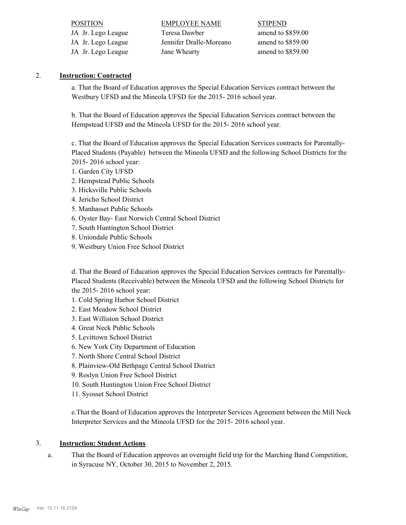| <b>STIPEND</b>    |
|-------------------|
| amend to \$859.00 |
| amend to \$859.00 |
| amend to \$859.00 |
|                   |

#### 2. **Instruction: Contracted**

a. That the Board of Education approves the Special Education Services contract between the Westbury UFSD and the Mineola UFSD for the 2015- 2016 school year.

b. That the Board of Education approves the Special Education Services contract between the Hempstead UFSD and the Mineola UFSD for the 2015- 2016 school year.

c. That the Board of Education approves the Special Education Services contracts for Parentally-Placed Students (Payable) between the Mineola UFSD and the following School Districts for the 2015- 2016 school year:

- 1. Garden City UFSD
- 2. Hempstead Public Schools
- 3. Hicksville Public Schools
- 4. Jericho School District
- 5. Manhasset Public Schools
- 6. Oyster Bay- East Norwich Central School District
- 7. South Huntington School District
- 8. Uniondale Public Schools
- 9. Westbury Union Free School District

d. That the Board of Education approves the Special Education Services contracts for Parentally-Placed Students (Receivable) between the Mineola UFSD and the following School Districts for the 2015- 2016 school year:

- 1. Cold Spring Harbor School District
- 2. East Meadow School District
- 3. East Williston School District
- 4. Great Neck Public Schools
- 5. Levittown School District
- 6. New York City Department of Education
- 7. North Shore Central School District
- 8. Plainview-Old Bethpage Central School District
- 9. Roslyn Union Free School District
- 10. South Huntington Union Free School District
- 11. Syosset School District

e.That the Board of Education approves the Interpreter Services Agreement between the Mill Neck Interpreter Services and the Mineola UFSD for the 2015- 2016 school year.

#### 3. **Instruction: Student Actions**

That the Board of Education approves an overnight field trip for the Marching Band Competition, in Syracuse NY, October 30, 2015 to November 2, 2015. a.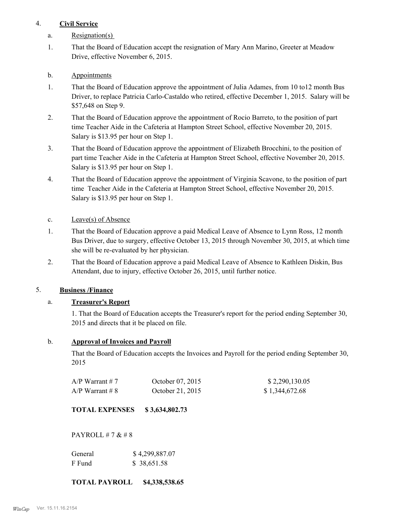## 4. **Civil Service**

- a. Resignation(s)
- That the Board of Education accept the resignation of Mary Ann Marino, Greeter at Meadow Drive, effective November 6, 2015. 1.

## b. Appointments

- That the Board of Education approve the appointment of Julia Adames, from 10 to12 month Bus Driver, to replace Patricia Carlo-Castaldo who retired, effective December 1, 2015. Salary will be \$57,648 on Step 9. 1.
- That the Board of Education approve the appointment of Rocio Barreto, to the position of part time Teacher Aide in the Cafeteria at Hampton Street School, effective November 20, 2015. Salary is \$13.95 per hour on Step 1. 2.
- That the Board of Education approve the appointment of Elizabeth Brocchini, to the position of part time Teacher Aide in the Cafeteria at Hampton Street School, effective November 20, 2015. Salary is \$13.95 per hour on Step 1. 3.
- That the Board of Education approve the appointment of Virginia Scavone, to the position of part time Teacher Aide in the Cafeteria at Hampton Street School, effective November 20, 2015. Salary is \$13.95 per hour on Step 1. 4.
- c. Leave(s) of Absence
- That the Board of Education approve a paid Medical Leave of Absence to Lynn Ross, 12 month Bus Driver, due to surgery, effective October 13, 2015 through November 30, 2015, at which time she will be re-evaluated by her physician. 1.
- That the Board of Education approve a paid Medical Leave of Absence to Kathleen Diskin, Bus Attendant, due to injury, effective October 26, 2015, until further notice. 2.

## 5. **Business /Finance**

## a. **Treasurer's Report**

1. That the Board of Education accepts the Treasurer's report for the period ending September 30, 2015 and directs that it be placed on file.

#### b. **Approval of Invoices and Payroll**

That the Board of Education accepts the Invoices and Payroll for the period ending September 30, 2015

| $A/P$ Warrant # 7 | October 07, 2015 | \$2,290,130.05 |
|-------------------|------------------|----------------|
| $A/P$ Warrant # 8 | October 21, 2015 | \$1,344,672.68 |

## **TOTAL EXPENSES \$ 3,634,802.73**

PAYROLL  $# 7 & 48$ 

| General | \$4,299,887.07 |
|---------|----------------|
| F Fund  | \$ 38,651.58   |

#### **TOTAL PAYROLL \$4,338,538.65**